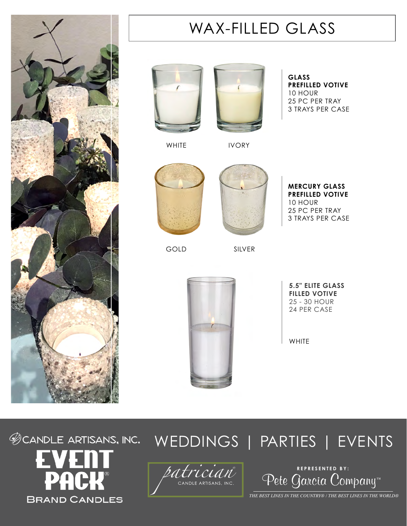

## WAX-FILLED GLASS





**GLASS PREFILLED VOTIVE** 10 HOUR 25 PC PER TRAY 3 TRAYS PER CASE

WHITE **IVORY** 



GOLD SILVER



**MERCURY GLASS PREFILLED VOTIVE** 10 HOUR 25 PC PER TRAY 3 TRAYS PER CASE



**5.5" ELITE GLASS FILLED VOTIVE** 25 - 30 HOUR 24 PER CASE

**WHITE** 



## **@CANDLE ARTISANS, INC.** WEDDINGS | PARTIES | EVENTS



Pete Garcia Company™ **REPRESENTED BY:**

*THE BEST LINES IN THE COUNTRY® / THE BEST LINES IN THE WORLD®*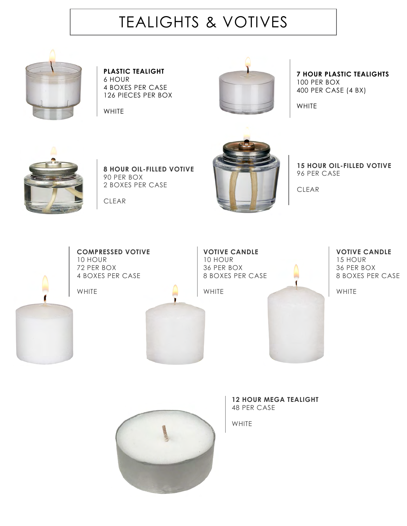## TEALIGHTS & VOTIVES



**PLASTIC TEALIGHT** 6 HOUR 4 BOXES PER CASE 126 PIECES PER BOX

WHITE



**7 HOUR PLASTIC TEALIGHTS** 100 PER BOX 400 PER CASE (4 BX)

WHITE



**8 HOUR OIL-FILLED VOTIVE** 90 PER BOX 2 BOXES PER CASE

CLEAR



**15 HOUR OIL-FILLED VOTIVE** 96 PER CASE

CLEAR



**COMPRESSED VOTIVE** 10 HOUR 72 PER BOX 4 BOXES PER CASE

WHITE



**VOTIVE CANDLE** 10 HOUR 36 PER BOX 8 BOXES PER CASE

WHITE



**VOTIVE CANDLE** 15 HOUR 36 PER BOX 8 BOXES PER CASE

WHITE



WHITE

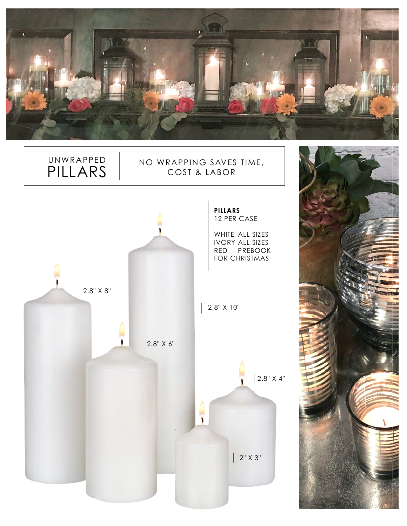

## NO WRAPPING SAVES TIME, COST & LABOR



UNWRAPPED PILLARS